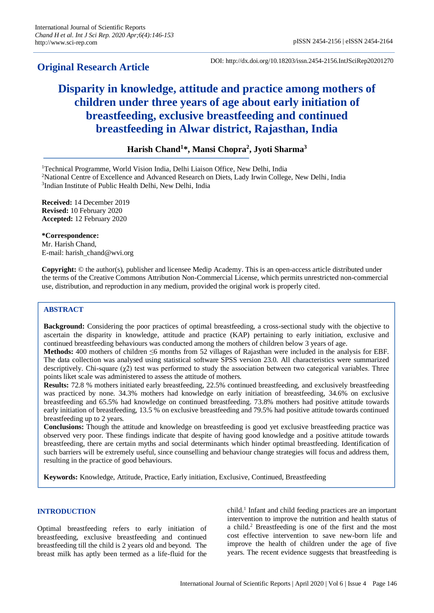# **Original Research Article**

DOI: http://dx.doi.org/10.18203/issn.2454-2156.IntJSciRep20201270

# **Disparity in knowledge, attitude and practice among mothers of children under three years of age about early initiation of breastfeeding, exclusive breastfeeding and continued breastfeeding in Alwar district, Rajasthan, India**

# **Harish Chand<sup>1</sup> \*, Mansi Chopra<sup>2</sup> , Jyoti Sharma<sup>3</sup>**

<sup>1</sup>Technical Programme, World Vision India, Delhi Liaison Office, New Delhi, India

<sup>2</sup>National Centre of Excellence and Advanced Research on Diets, Lady Irwin College, New Delhi, India 3 Indian Institute of Public Health Delhi, New Delhi, India

**Received:** 14 December 2019 **Revised:** 10 February 2020 **Accepted:** 12 February 2020

#### **\*Correspondence:**

Mr. Harish Chand, E-mail: harish\_chand@wvi.org

**Copyright:** © the author(s), publisher and licensee Medip Academy. This is an open-access article distributed under the terms of the Creative Commons Attribution Non-Commercial License, which permits unrestricted non-commercial use, distribution, and reproduction in any medium, provided the original work is properly cited.

# **ABSTRACT**

**Background:** Considering the poor practices of optimal breastfeeding, a cross-sectional study with the objective to ascertain the disparity in knowledge, attitude and practice (KAP) pertaining to early initiation, exclusive and continued breastfeeding behaviours was conducted among the mothers of children below 3 years of age.

**Methods:** 400 mothers of children ≤6 months from 52 villages of Rajasthan were included in the analysis for EBF. The data collection was analysed using statistical software SPSS version 23.0. All characteristics were summarized descriptively. Chi-square  $(\chi^2)$  test was performed to study the association between two categorical variables. Three points liket scale was administered to assess the attitude of mothers.

**Results:** 72.8 % mothers initiated early breastfeeding, 22.5% continued breastfeeding, and exclusively breastfeeding was practiced by none. 34.3% mothers had knowledge on early initiation of breastfeeding, 34.6% on exclusive breastfeeding and 65.5% had knowledge on continued breastfeeding. 73.8% mothers had positive attitude towards early initiation of breastfeeding, 13.5 % on exclusive breastfeeding and 79.5% had positive attitude towards continued breastfeeding up to 2 years.

**Conclusions:** Though the attitude and knowledge on breastfeeding is good yet exclusive breastfeeding practice was observed very poor. These findings indicate that despite of having good knowledge and a positive attitude towards breastfeeding, there are certain myths and social determinants which hinder optimal breastfeeding. Identification of such barriers will be extremely useful, since counselling and behaviour change strategies will focus and address them, resulting in the practice of good behaviours.

**Keywords:** Knowledge, Attitude, Practice, Early initiation, Exclusive, Continued, Breastfeeding

# **INTRODUCTION**

Optimal breastfeeding refers to early initiation of breastfeeding, exclusive breastfeeding and continued breastfeeding till the child is 2 years old and beyond. The breast milk has aptly been termed as a life-fluid for the

child.<sup>1</sup> Infant and child feeding practices are an important intervention to improve the nutrition and health status of a child.<sup>2</sup> Breastfeeding is one of the first and the most cost effective intervention to save new-born life and improve the health of children under the age of five years. The recent evidence suggests that breastfeeding is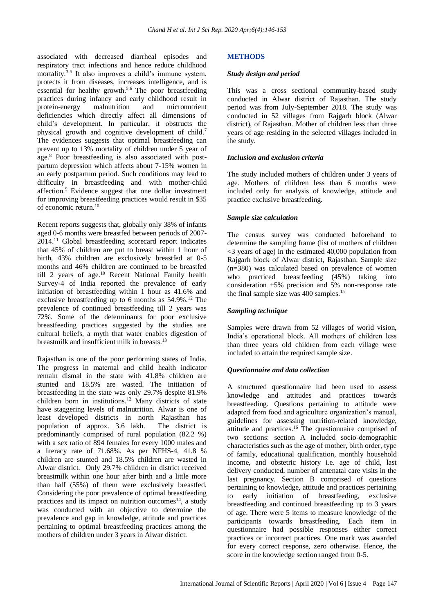associated with decreased diarrheal episodes and respiratory tract infections and hence reduce childhood mortality.<sup>3-5</sup> It also improves a child's immune system, protects it from diseases, increases intelligence, and is essential for healthy growth.<sup>5,6</sup> The poor breastfeeding practices during infancy and early childhood result in protein-energy malnutrition and micronutrient deficiencies which directly affect all dimensions of child's development. In particular, it obstructs the physical growth and cognitive development of child.<sup>7</sup> The evidences suggests that optimal breastfeeding can prevent up to 13% mortality of children under 5 year of age.<sup>8</sup> Poor breastfeeding is also associated with postpartum depression which affects about 7-15% women in an early postpartum period. Such conditions may lead to difficulty in breastfeeding and with mother-child affection.<sup>9</sup> Evidence suggest that one dollar investment for improving breastfeeding practices would result in \$35 of economic return.<sup>10</sup>

Recent reports suggests that, globally only 38% of infants aged 0-6 months were breastfed between periods of 2007- 2014.<sup>11</sup> Global breastfeeding scorecard report indicates that 45% of children are put to breast within 1 hour of birth, 43% children are exclusively breastfed at 0-5 months and 46% children are continued to be breastfed till 2 years of age.<sup>10</sup> Recent National Family health Survey-4 of India reported the prevalence of early initiation of breastfeeding within 1 hour as 41.6% and exclusive breastfeeding up to 6 months as  $54.9\%$ .<sup>12</sup> The prevalence of continued breastfeeding till 2 years was 72%. Some of the determinants for poor exclusive breastfeeding practices suggested by the studies are cultural beliefs, a myth that water enables digestion of breastmilk and insufficient milk in breasts.<sup>13</sup>

Rajasthan is one of the poor performing states of India. The progress in maternal and child health indicator remain dismal in the state with 41.8% children are stunted and 18.5% are wasted. The initiation of breastfeeding in the state was only 29.7% despite 81.9% children born in institutions.<sup>12</sup> Many districts of state have staggering levels of malnutrition. Alwar is one of least developed districts in north Rajasthan has population of approx. 3.6 lakh. The district is predominantly comprised of rural population (82.2 %) with a sex ratio of 894 females for every 1000 males and a literacy rate of 71.68%. As per NFHS-4, 41.8 % children are stunted and 18.5% children are wasted in Alwar district. Only 29.7% children in district received breastmilk within one hour after birth and a little more than half (55%) of them were exclusively breastfed. Considering the poor prevalence of optimal breastfeeding practices and its impact on nutrition outcomes<sup>14</sup>, a study was conducted with an objective to determine the prevalence and gap in knowledge, attitude and practices pertaining to optimal breastfeeding practices among the mothers of children under 3 years in Alwar district.

# **METHODS**

#### *Study design and period*

This was a cross sectional community-based study conducted in Alwar district of Rajasthan. The study period was from July-September 2018. The study was conducted in 52 villages from Rajgarh block (Alwar district), of Rajasthan. Mother of children less than three years of age residing in the selected villages included in the study.

# *Inclusion and exclusion criteria*

The study included mothers of children under 3 years of age. Mothers of children less than 6 months were included only for analysis of knowledge, attitude and practice exclusive breastfeeding.

# *Sample size calculation*

The census survey was conducted beforehand to determine the sampling frame (list of mothers of children  $\leq$  vears of age) in the estimated 40,000 population from Rajgarh block of Alwar district, Rajasthan. Sample size (n=380) was calculated based on prevalence of women who practiced breastfeeding (45%) taking into consideration ±5% precision and 5% non-response rate the final sample size was 400 samples. 15

# *Sampling technique*

Samples were drawn from 52 villages of world vision, India's operational block. All mothers of children less than three years old children from each village were included to attain the required sample size.

# *Questionnaire and data collection*

A structured questionnaire had been used to assess knowledge and attitudes and practices towards breastfeeding. Questions pertaining to attitude were adapted from food and agriculture organization's manual, guidelines for assessing nutrition-related knowledge, attitude and practices. <sup>16</sup> The questionnaire comprised of two sections: section A included socio-demographic characteristics such as the age of mother, birth order, type of family, educational qualification, monthly household income, and obstetric history i.e. age of child, last delivery conducted, number of antenatal care visits in the last pregnancy. Section B comprised of questions pertaining to knowledge, attitude and practices pertaining to early initiation of breastfeeding, exclusive breastfeeding and continued breastfeeding up to 3 years of age. There were 5 items to measure knowledge of the participants towards breastfeeding. Each item in questionnaire had possible responses either correct practices or incorrect practices. One mark was awarded for every correct response, zero otherwise. Hence, the score in the knowledge section ranged from 0-5.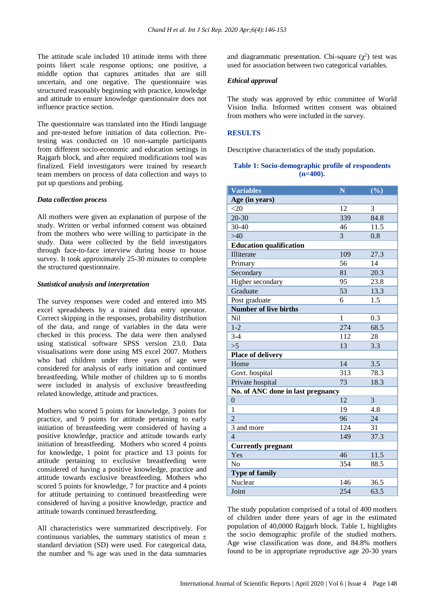The attitude scale included 10 attitude items with three points likert scale response options; one positive, a middle option that captures attitudes that are still uncertain, and one negative. The questionnaire was structured reasonably beginning with practice, knowledge and attitude to ensure knowledge questionnaire does not influence practice section.

The questionnaire was translated into the Hindi language and pre-tested before initiation of data collection. Pretesting was conducted on 10 non-sample participants from different socio-economic and education settings in Rajgarh block, and after required modifications tool was finalized. Field investigators were trained by research team members on process of data collection and ways to put up questions and probing.

#### *Data collection process*

All mothers were given an explanation of purpose of the study. Written or verbal informed consent was obtained from the mothers who were willing to participate in the study. Data were collected by the field investigators through face-to-face interview during house to house survey. It took approximately 25-30 minutes to complete the structured questionnaire.

#### *Statistical analysis and interpretation*

The survey responses were coded and entered into MS excel spreadsheets by a trained data entry operator. Correct skipping in the responses, probability distribution of the data, and range of variables in the data were checked in this process. The data were then analysed using statistical software SPSS version 23.0. Data visualisations were done using MS excel 2007. Mothers who had children under three years of age were considered for analysis of early initiation and continued breastfeeding. While mother of children up to 6 months were included in analysis of exclusive breastfeeding related knowledge, attitude and practices.

Mothers who scored 5 points for knowledge, 3 points for practice, and 9 points for attitude pertaining to early initiation of breastfeeding were considered of having a positive knowledge, practice and attitude towards early initiation of breastfeeding. Mothers who scored 4 points for knowledge, 1 point for practice and 13 points for attitude pertaining to exclusive breastfeeding were considered of having a positive knowledge, practice and attitude towards exclusive breastfeeding. Mothers who scored 5 points for knowledge, 7 for practice and 4 points for attitude pertaining to continued breastfeeding were considered of having a positive knowledge, practice and attitude towards continued breastfeeding.

All characteristics were summarized descriptively. For continuous variables, the summary statistics of mean  $\pm$ standard deviation (SD) were used. For categorical data, the number and % age was used in the data summaries

and diagrammatic presentation. Chi-square  $(\chi^2)$  test was used for association between two categorical variables.

#### *Ethical approval*

The study was approved by ethic committee of World Vision India. Informed written consent was obtained from mothers who were included in the survey.

#### **RESULTS**

Descriptive characteristics of the study population.

#### **Table 1: Socio-demographic profile of respondents (n=400).**

| <b>Variables</b>                  | N   | $(\%)$ |  |  |
|-----------------------------------|-----|--------|--|--|
| Age (in years)                    |     |        |  |  |
| <20                               | 12  | 3      |  |  |
| $20 - 30$                         | 339 | 84.8   |  |  |
| 30-40                             | 46  | 11.5   |  |  |
| >40                               | 3   | 0.8    |  |  |
| <b>Education qualification</b>    |     |        |  |  |
| Illiterate                        | 109 | 27.3   |  |  |
| Primary                           | 56  | 14     |  |  |
| Secondary                         | 81  | 20.3   |  |  |
| Higher secondary                  | 95  | 23.8   |  |  |
| Graduate                          | 53  | 13.3   |  |  |
| Post graduate                     | 6   | 1.5    |  |  |
| <b>Number of live births</b>      |     |        |  |  |
| Nil                               | 1   | 0.3    |  |  |
| $1 - 2$                           | 274 | 68.5   |  |  |
| $3 - 4$                           | 112 | 28     |  |  |
| >5                                | 13  | 3.3    |  |  |
| <b>Place of delivery</b>          |     |        |  |  |
| Home                              | 14  | 3.5    |  |  |
| Govt. hospital                    | 313 | 78.3   |  |  |
| Private hospital                  | 73  | 18.3   |  |  |
| No. of ANC done in last pregnancy |     |        |  |  |
| $\mathbf{0}$                      | 12  | 3      |  |  |
| 1                                 | 19  | 4.8    |  |  |
| $\overline{2}$                    | 96  | 24     |  |  |
| 3 and more                        | 124 | 31     |  |  |
| $\overline{4}$                    | 149 | 37.3   |  |  |
| <b>Currently pregnant</b>         |     |        |  |  |
| Yes                               | 46  | 11.5   |  |  |
| No                                | 354 | 88.5   |  |  |
| <b>Type of family</b>             |     |        |  |  |
| Nuclear                           | 146 | 36.5   |  |  |
| Joint                             | 254 | 63.5   |  |  |

The study population comprised of a total of 400 mothers of children under three years of age in the estimated population of 40,0000 Rajgarh block. Table 1, highlights the socio demographic profile of the studied mothers. Age wise classification was done, and 84.8% mothers found to be in appropriate reproductive age 20-30 years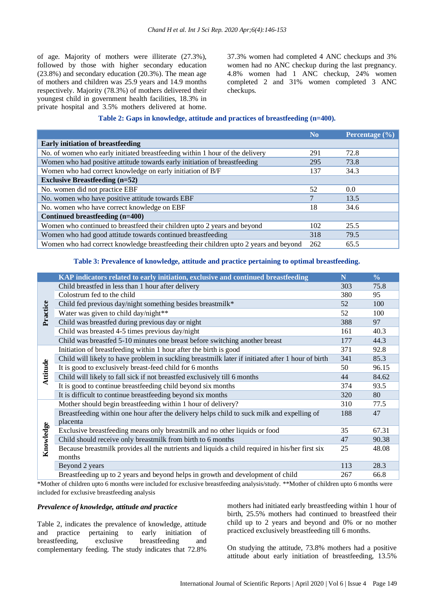of age. Majority of mothers were illiterate (27.3%), followed by those with higher secondary education (23.8%) and secondary education (20.3%). The mean age of mothers and children was 25.9 years and 14.9 months respectively. Majority (78.3%) of mothers delivered their youngest child in government health facilities, 18.3% in private hospital and 3.5% mothers delivered at home. 37.3% women had completed 4 ANC checkups and 3% women had no ANC checkup during the last pregnancy. 4.8% women had 1 ANC checkup, 24% women completed 2 and 31% women completed 3 ANC checkups.

# **Table 2: Gaps in knowledge, attitude and practices of breastfeeding (n=400).**

|                                                                                      | N <sub>0</sub> | Percentage (%) |
|--------------------------------------------------------------------------------------|----------------|----------------|
| <b>Early initiation of breastfeeding</b>                                             |                |                |
| No. of women who early initiated breastfeeding within 1 hour of the delivery         | 291            | 72.8           |
| Women who had positive attitude towards early initiation of breastfeeding            | 295            | 73.8           |
| Women who had correct knowledge on early initiation of B/F                           | 137            | 34.3           |
| <b>Exclusive Breastfeeding (n=52)</b>                                                |                |                |
| No. women did not practice EBF                                                       | 52             | $0.0^{\circ}$  |
| No. women who have positive attitude towards EBF                                     | $\overline{7}$ | 13.5           |
| No. women who have correct knowledge on EBF                                          | 18             | 34.6           |
| Continued breastfeeding (n=400)                                                      |                |                |
| Women who continued to breastfeed their children upto 2 years and beyond             | 102            | 25.5           |
| Women who had good attitude towards continued breastfeeding                          | 318            | 79.5           |
| Women who had correct knowledge breastfeeding their children upto 2 years and beyond | 262            | 65.5           |

#### **Table 3: Prevalence of knowledge, attitude and practice pertaining to optimal breastfeeding.**

|           | KAP indicators related to early initiation, exclusive and continued breastfeeding                 | N   | $\frac{0}{0}$ |
|-----------|---------------------------------------------------------------------------------------------------|-----|---------------|
| Practice  | Child breastfed in less than 1 hour after delivery                                                | 303 | 75.8          |
|           | Colostrum fed to the child                                                                        | 380 | 95            |
|           | Child fed previous day/night something besides breastmilk*                                        | 52  | 100           |
|           | Water was given to child day/night**                                                              | 52  | 100           |
|           | Child was breastfed during previous day or night                                                  | 388 | 97            |
|           | Child was breasted 4-5 times previous day/night                                                   | 161 | 40.3          |
|           | Child was breastfed 5-10 minutes one breast before switching another breast                       | 177 | 44.3          |
| Attitude  | Initiation of breastfeeding within 1 hour after the birth is good                                 | 371 | 92.8          |
|           | Child will likely to have problem in suckling breastmilk later if initiated after 1 hour of birth | 341 | 85.3          |
|           | It is good to exclusively breast-feed child for 6 months                                          | 50  | 96.15         |
|           | Child will likely to fall sick if not breastfed exclusively till 6 months                         | 44  | 84.62         |
|           | It is good to continue breastfeeding child beyond six months                                      | 374 | 93.5          |
|           | It is difficult to continue breastfeeding beyond six months                                       | 320 | 80            |
|           | Mother should begin breastfeeding within 1 hour of delivery?                                      | 310 | 77.5          |
|           | Breastfeeding within one hour after the delivery helps child to suck milk and expelling of        | 188 | 47            |
|           | placenta                                                                                          |     |               |
| Knowledge | Exclusive breastfeeding means only breastmilk and no other liquids or food                        | 35  | 67.31         |
|           | Child should receive only breastmilk from birth to 6 months                                       | 47  | 90.38         |
|           | Because breastmilk provides all the nutrients and liquids a child required in his/her first six   | 25  | 48.08         |
|           | months                                                                                            |     |               |
|           | Beyond 2 years                                                                                    | 113 | 28.3          |
|           | Breastfeeding up to 2 years and beyond helps in growth and development of child                   | 267 | 66.8          |

\*Mother of children upto 6 months were included for exclusive breastfeeding analysis/study. \*\*Mother of children upto 6 months were included for exclusive breastfeeding analysis

#### *Prevalence of knowledge, attitude and practice*

Table 2, indicates the prevalence of knowledge, attitude and practice pertaining to early initiation of breastfeeding, exclusive breastfeeding and complementary feeding. The study indicates that 72.8%

mothers had initiated early breastfeeding within 1 hour of birth, 25.5% mothers had continued to breastfeed their child up to 2 years and beyond and 0% or no mother practiced exclusively breastfeeding till 6 months.

On studying the attitude, 73.8% mothers had a positive attitude about early initiation of breastfeeding, 13.5%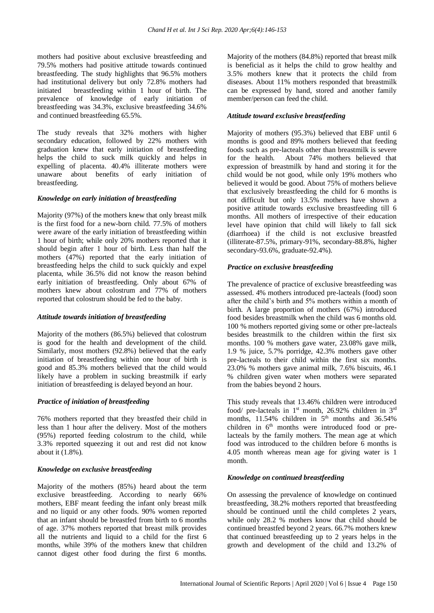mothers had positive about exclusive breastfeeding and 79.5% mothers had positive attitude towards continued breastfeeding. The study highlights that 96.5% mothers had institutional delivery but only 72.8% mothers had initiated breastfeeding within 1 hour of birth. The prevalence of knowledge of early initiation of breastfeeding was 34.3%, exclusive breastfeeding 34.6% and continued breastfeeding 65.5%.

The study reveals that 32% mothers with higher secondary education, followed by 22% mothers with graduation knew that early initiation of breastfeeding helps the child to suck milk quickly and helps in expelling of placenta. 40.4% illiterate mothers were unaware about benefits of early initiation of breastfeeding.

#### *Knowledge on early initiation of breastfeeding*

Majority (97%) of the mothers knew that only breast milk is the first food for a new-born child. 77.5% of mothers were aware of the early initiation of breastfeeding within 1 hour of birth; while only 20% mothers reported that it should begin after 1 hour of birth. Less than half the mothers (47%) reported that the early initiation of breastfeeding helps the child to suck quickly and expel placenta, while 36.5% did not know the reason behind early initiation of breastfeeding. Only about 67% of mothers knew about colostrum and 77% of mothers reported that colostrum should be fed to the baby.

#### *Attitude towards initiation of breastfeeding*

Majority of the mothers (86.5%) believed that colostrum is good for the health and development of the child. Similarly, most mothers (92.8%) believed that the early initiation of breastfeeding within one hour of birth is good and 85.3% mothers believed that the child would likely have a problem in sucking breastmilk if early initiation of breastfeeding is delayed beyond an hour.

# *Practice of initiation of breastfeeding*

76% mothers reported that they breastfed their child in less than 1 hour after the delivery. Most of the mothers (95%) reported feeding colostrum to the child, while 3.3% reported squeezing it out and rest did not know about it (1.8%).

#### *Knowledge on exclusive breastfeeding*

Majority of the mothers (85%) heard about the term exclusive breastfeeding. According to nearly 66% mothers, EBF meant feeding the infant only breast milk and no liquid or any other foods. 90% women reported that an infant should be breastfed from birth to 6 months of age. 37% mothers reported that breast milk provides all the nutrients and liquid to a child for the first 6 months, while 39% of the mothers knew that children cannot digest other food during the first 6 months. Majority of the mothers (84.8%) reported that breast milk is beneficial as it helps the child to grow healthy and 3.5% mothers knew that it protects the child from diseases. About 11% mothers responded that breastmilk can be expressed by hand, stored and another family member/person can feed the child.

# *Attitude toward exclusive breastfeeding*

Majority of mothers (95.3%) believed that EBF until 6 months is good and 89% mothers believed that feeding foods such as pre-lacteals other than breastmilk is severe for the health. About 74% mothers believed that expression of breastmilk by hand and storing it for the child would be not good, while only 19% mothers who believed it would be good. About 75% of mothers believe that exclusively breastfeeding the child for 6 months is not difficult but only 13.5% mothers have shown a positive attitude towards exclusive breastfeeding till 6 months. All mothers of irrespective of their education level have opinion that child will likely to fall sick (diarrhoea) if the child is not exclusive breastfed (illiterate-87.5%, primary-91%, secondary-88.8%, higher secondary-93.6%, graduate-92.4%).

# *Practice on exclusive breastfeeding*

The prevalence of practice of exclusive breastfeeding was assessed. 4% mothers introduced pre-lacteals (food) soon after the child's birth and 5% mothers within a month of birth. A large proportion of mothers (67%) introduced food besides breastmilk when the child was 6 months old. 100 % mothers reported giving some or other pre-lacteals besides breastmilk to the children within the first six months. 100 % mothers gave water, 23.08% gave milk, 1.9 % juice, 5.7% porridge, 42.3% mothers gave other pre-lacteals to their child within the first six months. 23.0% % mothers gave animal milk, 7.6% biscuits, 46.1 % children given water when mothers were separated from the babies beyond 2 hours.

This study reveals that 13.46% children were introduced food/ pre-lacteals in  $1<sup>st</sup>$  month, 26.92% children in  $3<sup>rd</sup>$ months,  $11.54\%$  children in  $5<sup>th</sup>$  months and 36.54% children in  $6<sup>th</sup>$  months were introduced food or prelacteals by the family mothers. The mean age at which food was introduced to the children before 6 months is 4.05 month whereas mean age for giving water is 1 month.

# *Knowledge on continued breastfeeding*

On assessing the prevalence of knowledge on continued breastfeeding, 38.2% mothers reported that breastfeeding should be continued until the child completes 2 years, while only 28.2 % mothers know that child should be continued breastfed beyond 2 years. 66.7% mothers knew that continued breastfeeding up to 2 years helps in the growth and development of the child and 13.2% of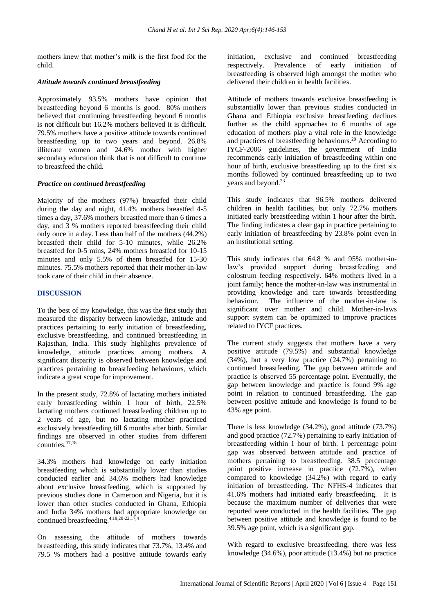mothers knew that mother's milk is the first food for the child.

#### *Attitude towards continued breastfeeding*

Approximately 93.5% mothers have opinion that breastfeeding beyond 6 months is good. 80% mothers believed that continuing breastfeeding beyond 6 months is not difficult but 16.2% mothers believed it is difficult. 79.5% mothers have a positive attitude towards continued breastfeeding up to two years and beyond. 26.8% illiterate women and 24.6% mother with higher secondary education think that is not difficult to continue to breastfeed the child.

#### *Practice on continued breastfeeding*

Majority of the mothers (97%) breastfed their child during the day and night, 41.4% mothers breastfed 4-5 times a day, 37.6% mothers breastfed more than 6 times a day, and 3 % mothers reported breastfeeding their child only once in a day. Less than half of the mothers (44.2%) breastfed their child for 5-10 minutes, while 26.2% breastfed for 0-5 mins, 24% mothers breastfed for 10-15 minutes and only 5.5% of them breastfed for 15-30 minutes. 75.5% mothers reported that their mother-in-law took care of their child in their absence.

#### **DISCUSSION**

To the best of my knowledge, this was the first study that measured the disparity between knowledge, attitude and practices pertaining to early initiation of breastfeeding, exclusive breastfeeding, and continued breastfeeding in Rajasthan, India. This study highlights prevalence of knowledge, attitude practices among mothers. A significant disparity is observed between knowledge and practices pertaining to breastfeeding behaviours, which indicate a great scope for improvement.

In the present study, 72.8% of lactating mothers initiated early breastfeeding within 1 hour of birth, 22.5% lactating mothers continued breastfeeding children up to 2 years of age, but no lactating mother practiced exclusively breastfeeding till 6 months after birth. Similar findings are observed in other studies from different countries.17,18

34.3% mothers had knowledge on early initiation breastfeeding which is substantially lower than studies conducted earlier and 34.6% mothers had knowledge about exclusive breastfeeding, which is supported by previous studies done in Cameroon and Nigeria, but it is lower than other studies conducted in Ghana, Ethiopia and India 34% mothers had appropriate knowledge on continued breastfeeding.4,19,20-22,17,4

On assessing the attitude of mothers towards breastfeeding, this study indicates that 73.7%, 13.4% and 79.5 % mothers had a positive attitude towards early initiation, exclusive and continued breastfeeding respectively. Prevalence of early initiation of breastfeeding is observed high amongst the mother who delivered their children in health facilities.

Attitude of mothers towards exclusive breastfeeding is substantially lower than previous studies conducted in Ghana and Ethiopia exclusive breastfeeding declines further as the child approaches to 6 months of age education of mothers play a vital role in the knowledge and practices of breastfeeding behaviours. <sup>20</sup> According to IYCF-2006 guidelines, the government of India recommends early initiation of breastfeeding within one hour of birth, exclusive breastfeeding up to the first six months followed by continued breastfeeding up to two years and beyond.<sup>23</sup>

This study indicates that 96.5% mothers delivered children in health facilities, but only 72.7% mothers initiated early breastfeeding within 1 hour after the birth. The finding indicates a clear gap in practice pertaining to early initiation of breastfeeding by 23.8% point even in an institutional setting.

This study indicates that 64.8 % and 95% mother-inlaw's provided support during breastfeeding and colostrum feeding respectively. 64% mothers lived in a joint family; hence the mother-in-law was instrumental in providing knowledge and care towards breastfeeding behaviour. The influence of the mother-in-law is significant over mother and child. Mother-in-laws support system can be optimized to improve practices related to IYCF practices.

The current study suggests that mothers have a very positive attitude (79.5%) and substantial knowledge (34%), but a very low practice (24.7%) pertaining to continued breastfeeding. The gap between attitude and practice is observed 55 percentage point. Eventually, the gap between knowledge and practice is found 9% age point in relation to continued breastfeeding. The gap between positive attitude and knowledge is found to be 43% age point.

There is less knowledge (34.2%), good attitude (73.7%) and good practice (72.7%) pertaining to early initiation of breastfeeding within 1 hour of birth. 1 percentage point gap was observed between attitude and practice of mothers pertaining to breastfeeding. 38.5 percentage point positive increase in practice (72.7%), when compared to knowledge (34.2%) with regard to early initiation of breastfeeding. The NFHS-4 indicates that 41.6% mothers had initiated early breastfeeding. It is because the maximum number of deliveries that were reported were conducted in the health facilities. The gap between positive attitude and knowledge is found to be 39.5% age point, which is a significant gap.

With regard to exclusive breastfeeding, there was less knowledge (34.6%), poor attitude (13.4%) but no practice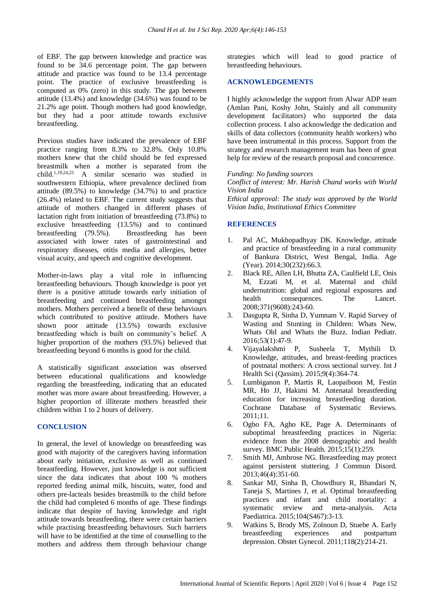of EBF. The gap between knowledge and practice was found to be 34.6 percentage point. The gap between attitude and practice was found to be 13.4 percentage point. The practice of exclusive breastfeeding is computed as 0% (zero) in this study. The gap between attitude (13.4%) and knowledge (34.6%) was found to be 21.2% age point. Though mothers had good knowledge, but they had a poor attitude towards exclusive breastfeeding.

Previous studies have indicated the prevalence of EBF practice ranging from 8.3% to 32.8%. Only 10.8% mothers knew that the child should be fed expressed breastmilk when a mother is separated from the child.<sup>1,19,24,25</sup> A similar scenario was studied in southwestern Ethiopia, where prevalence declined from attitude (89.5%) to knowledge (34.7%) to and practice (26.4%) related to EBF. The current study suggests that attitude of mothers changed in different phases of lactation right from initiation of breastfeeding (73.8%) to exclusive breastfeeding (13.5%) and to continued breastfeeding (79.5%). Breastfeeding has been associated with lower rates of gastrointestinal and respiratory diseases, otitis media and allergies, better visual acuity, and speech and cognitive development.

Mother-in-laws play a vital role in influencing breastfeeding behaviours. Though knowledge is poor yet there is a positive attitude towards early initiation of breastfeeding and continued breastfeeding amongst mothers. Mothers perceived a benefit of these behaviours which contributed to positive attitude. Mothers have shown poor attitude (13.5%) towards exclusive breastfeeding which is built on community's belief. A higher proportion of the mothers (93.5%) believed that breastfeeding beyond 6 months is good for the child.

A statistically significant association was observed between educational qualifications and knowledge regarding the breastfeeding, indicating that an educated mother was more aware about breastfeeding. However, a higher proportion of illiterate mothers breastfed their children within 1 to 2 hours of delivery.

# **CONCLUSION**

In general, the level of knowledge on breastfeeding was good with majority of the caregivers having information about early initiation, exclusive as well as continued breastfeeding. However, just knowledge is not sufficient since the data indicates that about 100 % mothers reported feeding animal milk, biscuits, water, food and others pre-lacteals besides breastmilk to the child before the child had completed 6 months of age. These findings indicate that despite of having knowledge and right attitude towards breastfeeding, there were certain barriers while practising breastfeeding behaviours. Such barriers will have to be identified at the time of counselling to the mothers and address them through behaviour change strategies which will lead to good practice of breastfeeding behaviours.

#### **ACKNOWLEDGEMENTS**

I highly acknowledge the support from Alwar ADP team (Amlan Pani, Koshy John, Stainly and all community development facilitators) who supported the data collection process. I also acknowledge the dedication and skills of data collectors (community health workers) who have been instrumental in this process. Support from the strategy and research management team has been of great help for review of the research proposal and concurrence.

#### *Funding: No funding sources*

*Conflict of interest: Mr. Harish Chand works with World Vision India*

*Ethical approval: The study was approved by the World Vision India, Institutional Ethics Committee*

#### **REFERENCES**

- 1. Pal AC, Mukhopadhyay DK. Knowledge, attitude and practice of breastfeeding in a rural community of Bankura District, West Bengal, India. Age (Year). 2014;30(232):66.3.
- 2. Black RE, Allen LH, Bhutta ZA, Caulfield LE, Onis M, Ezzati M, et al. Maternal and child undernutrition: global and regional exposures and health consequences. The Lancet. 2008;371(9608):243-60.
- 3. Dasgupta R, Sinha D, Yumnam V. Rapid Survey of Wasting and Stunting in Children: Whats New, Whats Old and Whats the Buzz. Indian Pediatr. 2016;53(1):47-9.
- 4. Vijayalakshmi P, Susheela T, Mythili D. Knowledge, attitudes, and breast-feeding practices of postnatal mothers: A cross sectional survey. Int J Health Sci (Qassim). 2015;9(4):364-74.
- 5. Lumbiganon P, Martis R, Laopaiboon M, Festin MR, Ho JJ, Hakimi M. Antenatal breastfeeding education for increasing breastfeeding duration. Cochrane Database of Systematic Reviews. 2011;11.
- 6. Ogbo FA, Agho KE, Page A. Determinants of suboptimal breastfeeding practices in Nigeria: evidence from the 2008 demographic and health survey. BMC Public Health. 2015;15(1):259.
- 7. Smith MJ, Ambrose NG. Breastfeeding may protect against persistent stuttering. J Commun Disord. 2013;46(4):351-60.
- 8. Sankar MJ, Sinha B, Chowdhury R, Bhandari N, Taneja S, Martines J, et al. Optimal breastfeeding practices and infant and child mortality: a systematic review and meta-analysis. Acta Paediatrica. 2015;104(S467):3-13.
- 9. Watkins S, Brody MS, Zolnoun D, Stuebe A. Early breastfeeding experiences and postpartum depression. Obstet Gynecol. 2011;118(2):214-21.